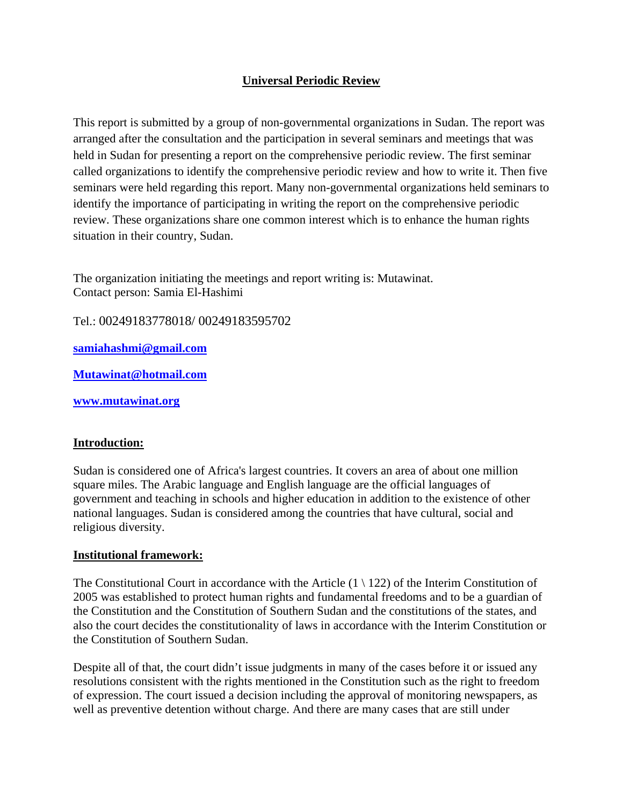# **Universal Periodic Review**

This report is submitted by a group of non-governmental organizations in Sudan. The report was arranged after the consultation and the participation in several seminars and meetings that was held in Sudan for presenting a report on the comprehensive periodic review. The first seminar called organizations to identify the comprehensive periodic review and how to write it. Then five seminars were held regarding this report. Many non-governmental organizations held seminars to identify the importance of participating in writing the report on the comprehensive periodic review. These organizations share one common interest which is to enhance the human rights situation in their country, Sudan.

The organization initiating the meetings and report writing is: Mutawinat. Contact person: Samia El-Hashimi

Tel.: 00249183778018/ 00249183595702

**samiahashmi@gmail.com**

**Mutawinat@hotmail.com** 

**www.mutawinat.org**

### **Introduction:**

Sudan is considered one of Africa's largest countries. It covers an area of about one million square miles. The Arabic language and English language are the official languages of government and teaching in schools and higher education in addition to the existence of other national languages. Sudan is considered among the countries that have cultural, social and religious diversity.

### **Institutional framework:**

The Constitutional Court in accordance with the Article  $(1 \setminus 122)$  of the Interim Constitution of 2005 was established to protect human rights and fundamental freedoms and to be a guardian of the Constitution and the Constitution of Southern Sudan and the constitutions of the states, and also the court decides the constitutionality of laws in accordance with the Interim Constitution or the Constitution of Southern Sudan.

Despite all of that, the court didn't issue judgments in many of the cases before it or issued any resolutions consistent with the rights mentioned in the Constitution such as the right to freedom of expression. The court issued a decision including the approval of monitoring newspapers, as well as preventive detention without charge. And there are many cases that are still under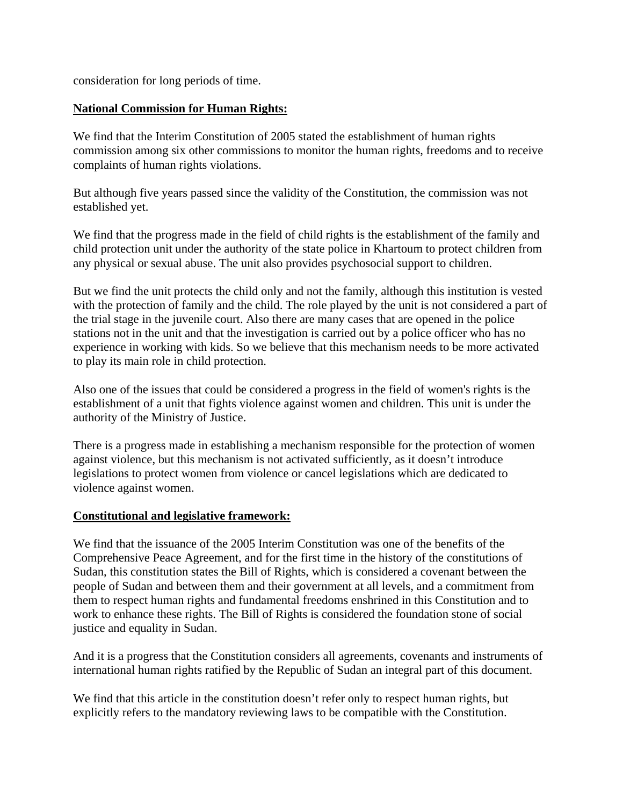consideration for long periods of time.

### **National Commission for Human Rights:**

We find that the Interim Constitution of 2005 stated the establishment of human rights commission among six other commissions to monitor the human rights, freedoms and to receive complaints of human rights violations.

But although five years passed since the validity of the Constitution, the commission was not established yet.

We find that the progress made in the field of child rights is the establishment of the family and child protection unit under the authority of the state police in Khartoum to protect children from any physical or sexual abuse. The unit also provides psychosocial support to children.

But we find the unit protects the child only and not the family, although this institution is vested with the protection of family and the child. The role played by the unit is not considered a part of the trial stage in the juvenile court. Also there are many cases that are opened in the police stations not in the unit and that the investigation is carried out by a police officer who has no experience in working with kids. So we believe that this mechanism needs to be more activated to play its main role in child protection.

Also one of the issues that could be considered a progress in the field of women's rights is the establishment of a unit that fights violence against women and children. This unit is under the authority of the Ministry of Justice.

There is a progress made in establishing a mechanism responsible for the protection of women against violence, but this mechanism is not activated sufficiently, as it doesn't introduce legislations to protect women from violence or cancel legislations which are dedicated to violence against women.

### **Constitutional and legislative framework:**

We find that the issuance of the 2005 Interim Constitution was one of the benefits of the Comprehensive Peace Agreement, and for the first time in the history of the constitutions of Sudan, this constitution states the Bill of Rights, which is considered a covenant between the people of Sudan and between them and their government at all levels, and a commitment from them to respect human rights and fundamental freedoms enshrined in this Constitution and to work to enhance these rights. The Bill of Rights is considered the foundation stone of social justice and equality in Sudan.

And it is a progress that the Constitution considers all agreements, covenants and instruments of international human rights ratified by the Republic of Sudan an integral part of this document.

We find that this article in the constitution doesn't refer only to respect human rights, but explicitly refers to the mandatory reviewing laws to be compatible with the Constitution.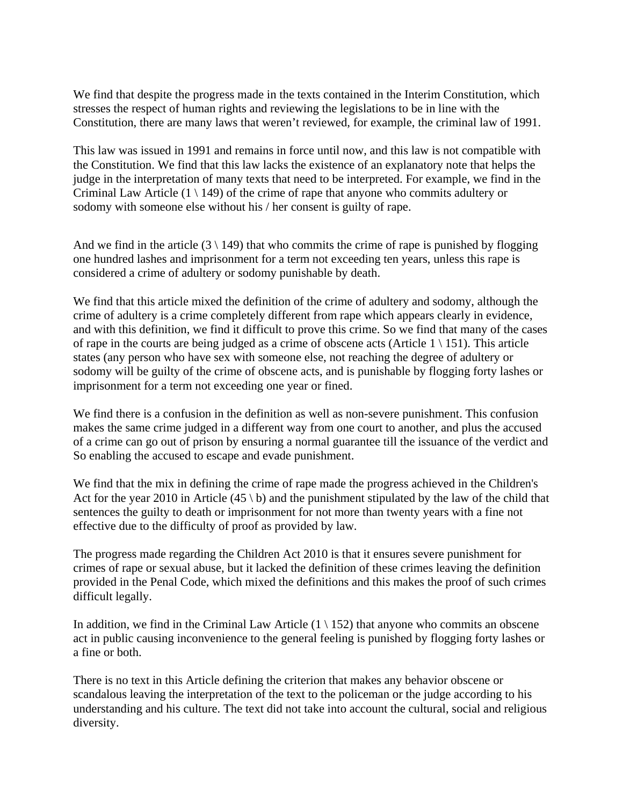We find that despite the progress made in the texts contained in the Interim Constitution, which stresses the respect of human rights and reviewing the legislations to be in line with the Constitution, there are many laws that weren't reviewed, for example, the criminal law of 1991.

This law was issued in 1991 and remains in force until now, and this law is not compatible with the Constitution. We find that this law lacks the existence of an explanatory note that helps the judge in the interpretation of many texts that need to be interpreted. For example, we find in the Criminal Law Article  $(1 \setminus 149)$  of the crime of rape that anyone who commits adultery or sodomy with someone else without his / her consent is guilty of rape.

And we find in the article  $(3 \ 149)$  that who commits the crime of rape is punished by flogging one hundred lashes and imprisonment for a term not exceeding ten years, unless this rape is considered a crime of adultery or sodomy punishable by death.

We find that this article mixed the definition of the crime of adultery and sodomy, although the crime of adultery is a crime completely different from rape which appears clearly in evidence, and with this definition, we find it difficult to prove this crime. So we find that many of the cases of rape in the courts are being judged as a crime of obscene acts (Article  $1 \setminus 151$ ). This article states (any person who have sex with someone else, not reaching the degree of adultery or sodomy will be guilty of the crime of obscene acts, and is punishable by flogging forty lashes or imprisonment for a term not exceeding one year or fined.

We find there is a confusion in the definition as well as non-severe punishment. This confusion makes the same crime judged in a different way from one court to another, and plus the accused of a crime can go out of prison by ensuring a normal guarantee till the issuance of the verdict and So enabling the accused to escape and evade punishment.

We find that the mix in defining the crime of rape made the progress achieved in the Children's Act for the year 2010 in Article (45 \ b) and the punishment stipulated by the law of the child that sentences the guilty to death or imprisonment for not more than twenty years with a fine not effective due to the difficulty of proof as provided by law.

The progress made regarding the Children Act 2010 is that it ensures severe punishment for crimes of rape or sexual abuse, but it lacked the definition of these crimes leaving the definition provided in the Penal Code, which mixed the definitions and this makes the proof of such crimes difficult legally.

In addition, we find in the Criminal Law Article  $(1 \setminus 152)$  that anyone who commits an obscene act in public causing inconvenience to the general feeling is punished by flogging forty lashes or a fine or both.

There is no text in this Article defining the criterion that makes any behavior obscene or scandalous leaving the interpretation of the text to the policeman or the judge according to his understanding and his culture. The text did not take into account the cultural, social and religious diversity.